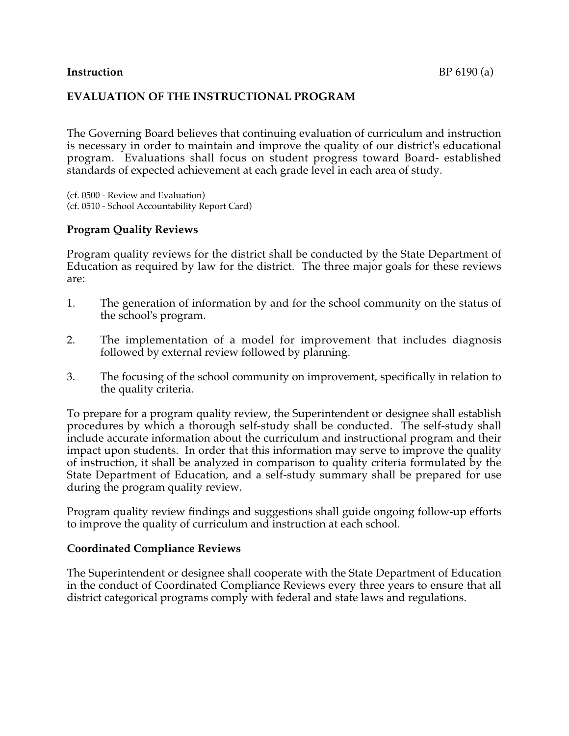## **EVALUATION OF THE INSTRUCTIONAL PROGRAM**

The Governing Board believes that continuing evaluation of curriculum and instruction is necessary in order to maintain and improve the quality of our district's educational program. Evaluations shall focus on student progress toward Board- established standards of expected achievement at each grade level in each area of study.

(cf. 0500 - Review and Evaluation) (cf. 0510 - School Accountability Report Card)

## **Program Quality Reviews**

Program quality reviews for the district shall be conducted by the State Department of Education as required by law for the district. The three major goals for these reviews are:

- 1. The generation of information by and for the school community on the status of the school's program.
- 2. The implementation of a model for improvement that includes diagnosis followed by external review followed by planning.
- 3. The focusing of the school community on improvement, specifically in relation to the quality criteria.

To prepare for a program quality review, the Superintendent or designee shall establish procedures by which a thorough self-study shall be conducted. The self-study shall include accurate information about the curriculum and instructional program and their impact upon students. In order that this information may serve to improve the quality of instruction, it shall be analyzed in comparison to quality criteria formulated by the State Department of Education, and a self-study summary shall be prepared for use during the program quality review.

Program quality review findings and suggestions shall guide ongoing follow-up efforts to improve the quality of curriculum and instruction at each school.

## **Coordinated Compliance Reviews**

The Superintendent or designee shall cooperate with the State Department of Education in the conduct of Coordinated Compliance Reviews every three years to ensure that all district categorical programs comply with federal and state laws and regulations.